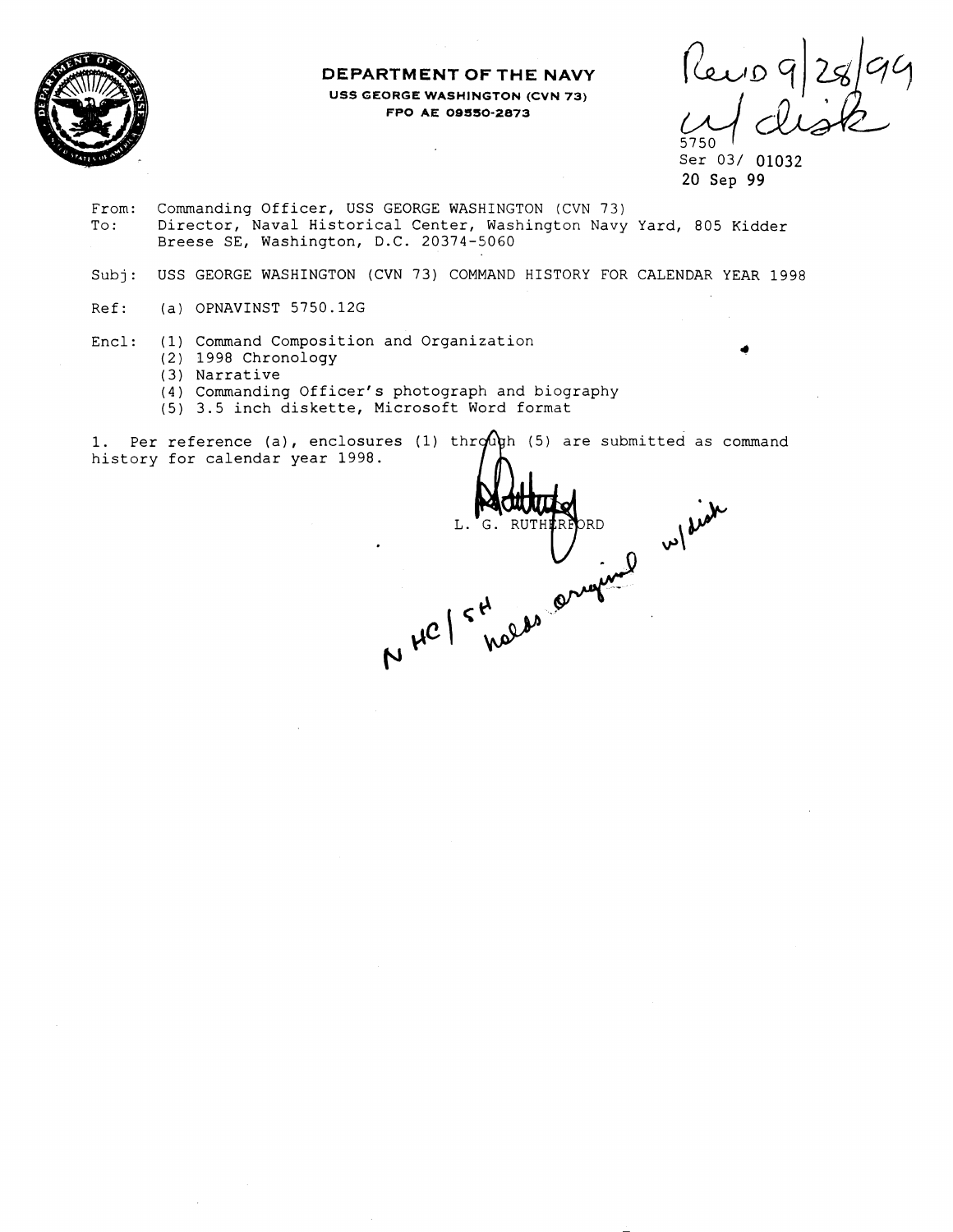

### **DEPARTMENT OF THE NAVY USS GEORGE WASHINGTON (CVN 73) FPO AE OBSSO-2873**

Perio 9/28/99 5750

Ser 03/ 01032 20 Sep **99** 

From: Commanding Officer, USS GEORGE WASHINGTON (CVN 73) To: Director, Naval Historical Center, Washington Navy Yard, 805 Kidder Breese SE, Washington, D.C. 20374-5060

 $\bar{z}$ 

Subj: USS GEORGE WASHINGTON (CVN 73) COMMAND HISTORY FOR CALENDAR YEAR 1998

- Ref: (a) OPNAVINST 5750.126
- Encl: (1) Command Composition and Organization
	- (2) 1998 Chronology
	- (3) Narrative
	- **(4)** Commanding Officer's photograph and biography
	- (5) 3.5 inch diskette, Microsoft Word format

1. Per reference (a), enclosures (1) through (5) are submitted as command history for calendar year 1998.

NHC / S RUTHERBAD w/side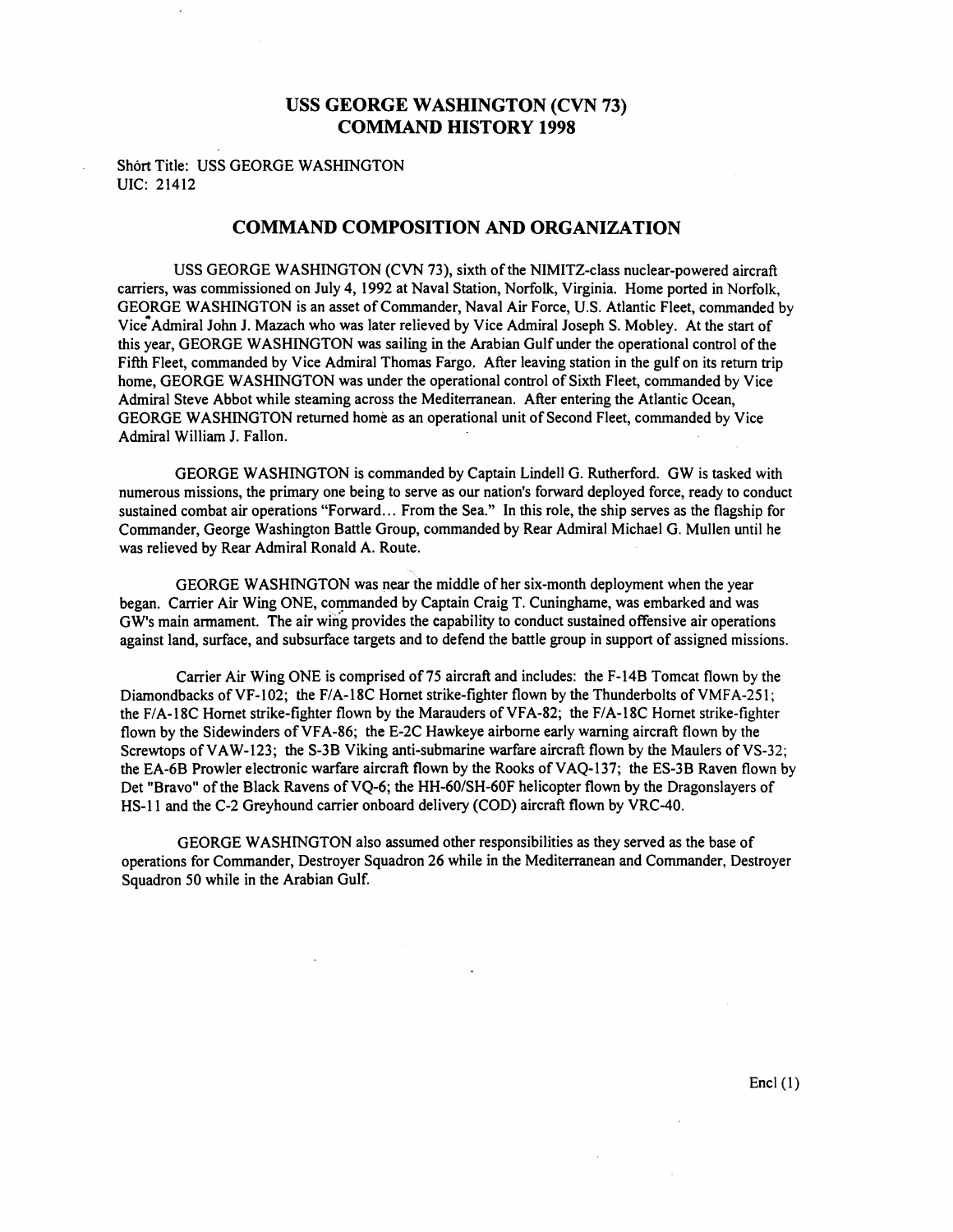### **USS GEORGE WASHINGTON (CVN 73) COMMAND HISTORY 1998**

Short Title: USS GEORGE WASHINGTON UIC: 21412

### **COMMAND COMPOSITION AND ORGANIZATION**

USS GEORGE WASHINGTON (CVN 73), sixth of the NIMITZ-class nuclear-powered aircraft carriers, was commissioned on July 4, 1992 at Naval Station, Norfolk, Virginia. Home ported in Norfolk, GEORGE WASHINGTON is an asset of Commander, Naval Air Force, U.S. Atlantic Fleet, commanded by Vice Admiral John J. Mazach who was later relieved by Vice Admiral Joseph S. Mobley. At the start of this year, GEORGE WASHINGTON was sailing in the Arabian Gulf under the operational control of the Fifth Fleet, commanded by Vice Admiral Thomas Fargo. After leaving station in the gulf on its return trip home, GEORGE WASHINGTON was under the operational control of Sixth Fleet, commanded by Vice Admiral Steve Abbot while steaming across the Mediterranean. After entering the Atlantic Ocean, GEORGE WASHINGTON returned home as an operational unit of Second Fleet, commanded by Vice Admiral William J. Fallon.

GEORGE WASHINGTON is commanded by Captain Lindell G. Rutherford. GW is tasked with numerous missions, the primary one being to serve as our nation's forward deployed force, ready to conduct sustained combat air operations "Forward.. . From the Sea." In this role, the ship serves as the flagship for Commander, George Washington Battle Group, commanded by Rear Admiral Michael G. Mullen until he was relieved by Rear Admiral Ronald A. Route.

GEORGE WASHINGTON was near the middle of her six-month deployment when the year began. Carrier Air Wing ONE, commanded by Captain Craig T. Cuninghame, was embarked and was GW's main armament. The air wing provides the capability to conduct sustained offensive air operations against land, surface, and subsurface targets and to defend the battle group in support of assigned missions.

Carrier Air Wing ONE is comprised of 75 aircraft and includes: the F-14B Tomcat flown by the Diamondbacks of VF-102; the F/A-18C Hornet strike-fighter flown by the Thunderbolts of VMFA-251; the F/A-18C Hornet strike-fighter flown by the Marauders of VFA-82; the F/A-18C Hornet strike-fighter flown by the Sidewinders of VFA-86; the E-2C Hawkeye airborne early warning aircraft flown by the Screwtops of VAW-123; the S-3B Viking anti-submarine warfare aircraft flown by the Maulers of VS-32; the EA-6B Prowler electronic warfare aircraft flown by the Rooks of VAQ-137; the ES-3B Raven flown by Det "Bravo" of the Black Ravens of VQ-6; the HH-60/SH-60F helicopter flown by the Dragonslayers of HS-I I and the C-2 Greyhound carrier onboard delivery (COD) aircraft flown by VRC-40.

GEORGE WASHINGTON also assumed other responsibilities as they served as the base of operations for Commander, Destroyer Squadron 26 while in the Mediterranean and Commander, Destroyer Squadron 50 while in the Arabian Gulf.

 $\text{Encl}(1)$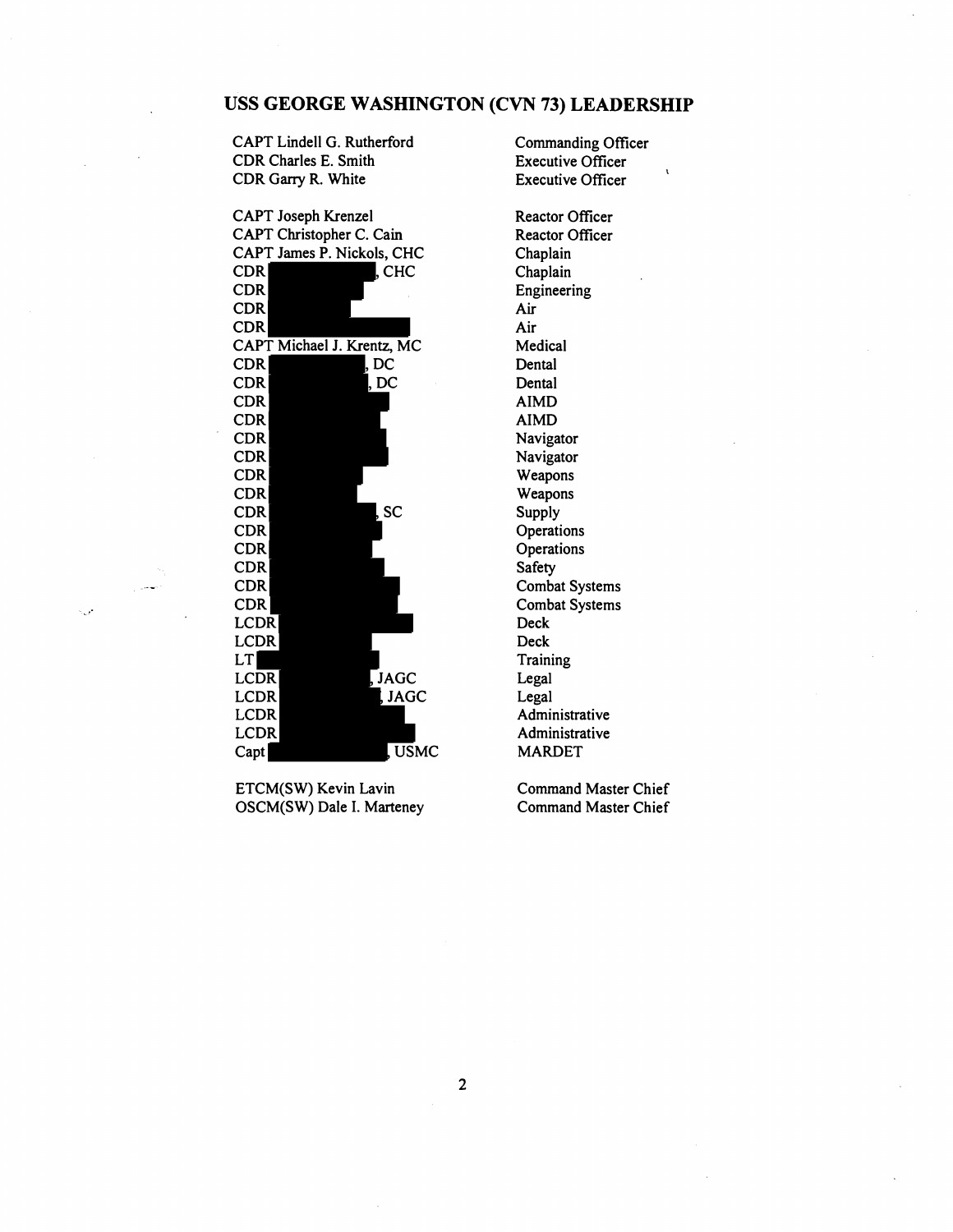# **USS GEORGE WASHINGTON (CVN 73) LEADERSHIP**

CAPT Lindell G. Rutherford Commanding Officer<br>
CDR Charles E. Smith
CDR Charles E. Smith
CDR COME CDR Charles E. Smith Executive Officer<br>
CDR Garry R. White Executive Officer CDR Garry R. White

CAPT Joseph Krenzel CAPT Christopher C. Cain CAPT James P. Nickols, CHC CDR , CHC CDR CDR CDR CAPT Michael J. Krentz, MC CDR , DC CDR , DC CDR CDR CDR CDR CDR CDR CDR , SC CDR CDR CDR CDR CDR **LCDR** LCDR LT LCDR , JAGC<br>LCDR , JAGC , JAGC LCDR LCDR Capt , USMC

ETCM(SW) Kevin Lavin<br>
Command Master Chief<br>
Command Master Chief<br>
Command Master Chief OSCM(SW) Dale I. Marteney

Reactor Officer Reactor Officer Chaplain Chaplain Engineering Air Air Medical Dental **Dental** AIMD AIMD Navigator Navigator Weapons Weapons Supply **Operations Operations** Safety Combat Systems Combat Systems Deck Deck **Training** Legal Legal Administrative Administrative MARDET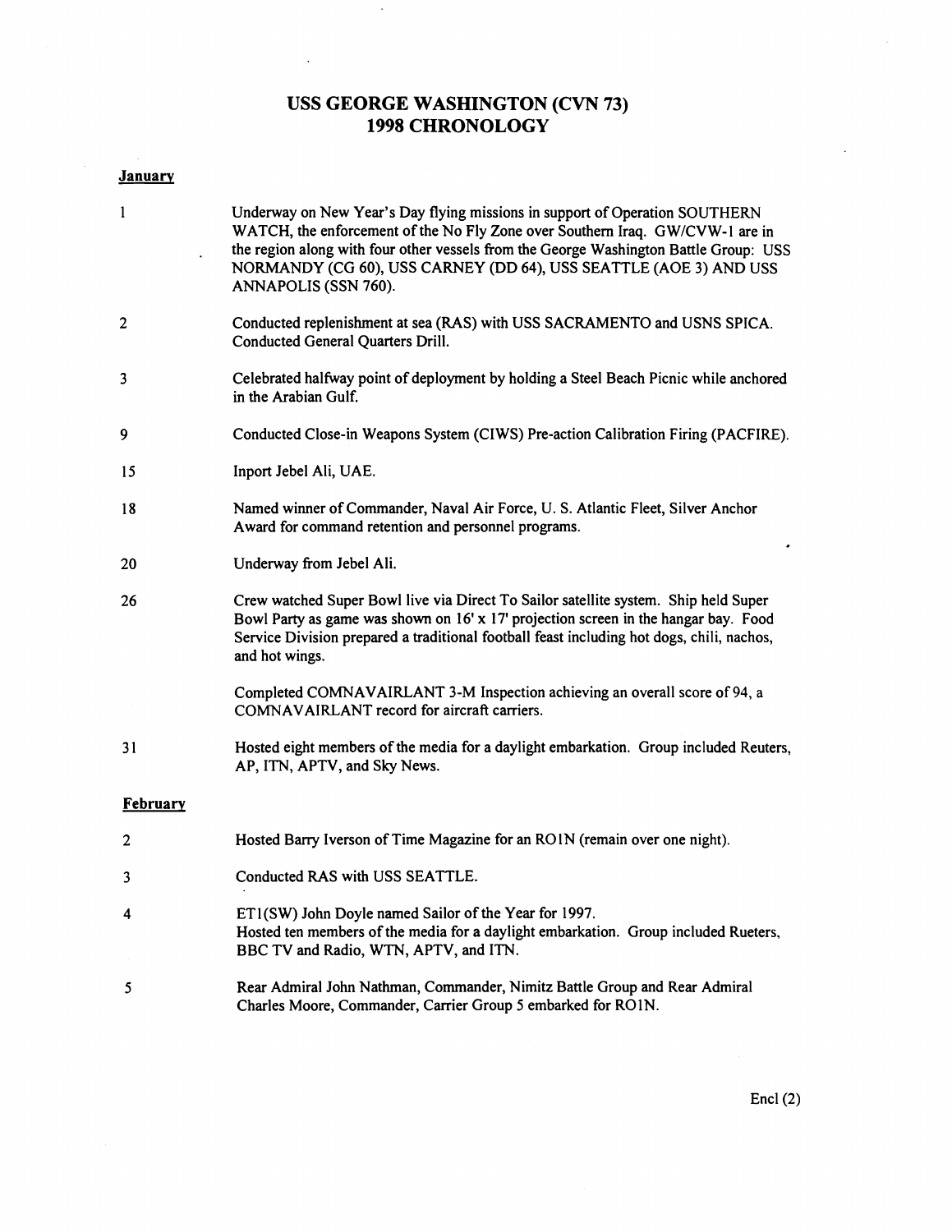## **USS GEORGE WASHINGTON (CVN 73) 1998 CHRONOLOGY**

 $\bar{\beta}$ 

 $\sim$ 

| <b>January</b> |                                                                                                                                                                                                                                                                                                                                                    |
|----------------|----------------------------------------------------------------------------------------------------------------------------------------------------------------------------------------------------------------------------------------------------------------------------------------------------------------------------------------------------|
| 1              | Underway on New Year's Day flying missions in support of Operation SOUTHERN<br>WATCH, the enforcement of the No Fly Zone over Southern Iraq. GW/CVW-1 are in<br>the region along with four other vessels from the George Washington Battle Group: USS<br>NORMANDY (CG 60), USS CARNEY (DD 64), USS SEATTLE (AOE 3) AND USS<br>ANNAPOLIS (SSN 760). |
| $\overline{c}$ | Conducted replenishment at sea (RAS) with USS SACRAMENTO and USNS SPICA.<br>Conducted General Quarters Drill.                                                                                                                                                                                                                                      |
| 3              | Celebrated halfway point of deployment by holding a Steel Beach Picnic while anchored<br>in the Arabian Gulf.                                                                                                                                                                                                                                      |
| 9              | Conducted Close-in Weapons System (CIWS) Pre-action Calibration Firing (PACFIRE).                                                                                                                                                                                                                                                                  |
| 15             | Inport Jebel Ali, UAE.                                                                                                                                                                                                                                                                                                                             |
| 18             | Named winner of Commander, Naval Air Force, U. S. Atlantic Fleet, Silver Anchor<br>Award for command retention and personnel programs.                                                                                                                                                                                                             |
| 20             | Underway from Jebel Ali.                                                                                                                                                                                                                                                                                                                           |
| 26             | Crew watched Super Bowl live via Direct To Sailor satellite system. Ship held Super<br>Bowl Party as game was shown on 16' x 17' projection screen in the hangar bay. Food<br>Service Division prepared a traditional football feast including hot dogs, chili, nachos,<br>and hot wings.                                                          |
|                | Completed COMNAVAIRLANT 3-M Inspection achieving an overall score of 94, a<br>COMNAVAIRLANT record for aircraft carriers.                                                                                                                                                                                                                          |
| 31             | Hosted eight members of the media for a daylight embarkation. Group included Reuters,<br>AP, ITN, APTV, and Sky News.                                                                                                                                                                                                                              |
| February       |                                                                                                                                                                                                                                                                                                                                                    |
| 2              | Hosted Barry Iverson of Time Magazine for an ROIN (remain over one night).                                                                                                                                                                                                                                                                         |
| 3              | Conducted RAS with USS SEATTLE.                                                                                                                                                                                                                                                                                                                    |
| 4              | ET1(SW) John Doyle named Sailor of the Year for 1997.<br>Hosted ten members of the media for a daylight embarkation. Group included Rueters,<br>BBC TV and Radio, WTN, APTV, and ITN.                                                                                                                                                              |
| 5              | Rear Admiral John Nathman, Commander, Nimitz Battle Group and Rear Admiral<br>Charles Moore, Commander, Carrier Group 5 embarked for RO1N.                                                                                                                                                                                                         |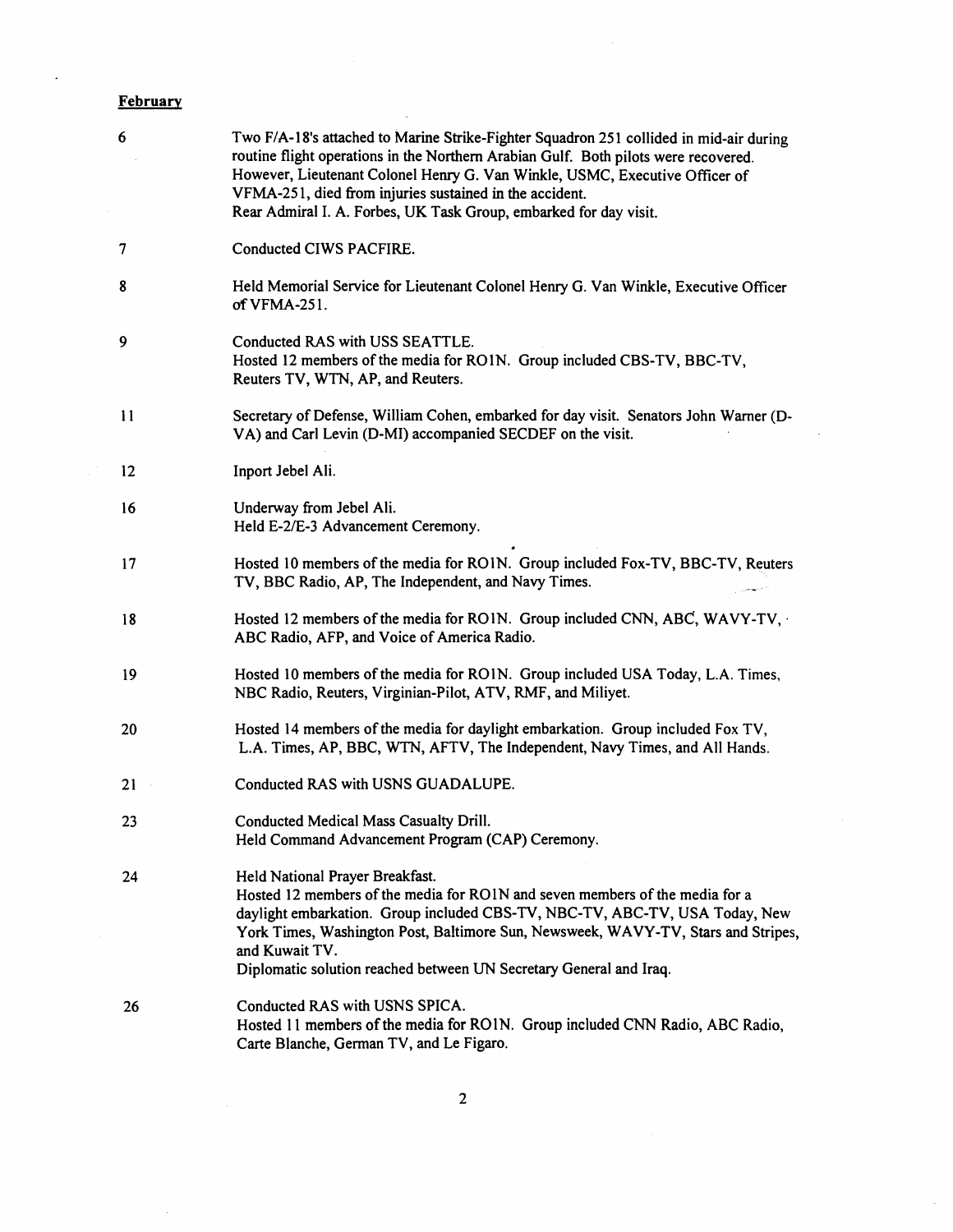# **February**

 $\bar{z}$ 

| 6                 | Two F/A-18's attached to Marine Strike-Fighter Squadron 251 collided in mid-air during<br>routine flight operations in the Northern Arabian Gulf. Both pilots were recovered.<br>However, Lieutenant Colonel Henry G. Van Winkle, USMC, Executive Officer of<br>VFMA-251, died from injuries sustained in the accident.<br>Rear Admiral I. A. Forbes, UK Task Group, embarked for day visit. |
|-------------------|----------------------------------------------------------------------------------------------------------------------------------------------------------------------------------------------------------------------------------------------------------------------------------------------------------------------------------------------------------------------------------------------|
| 7                 | Conducted CIWS PACFIRE.                                                                                                                                                                                                                                                                                                                                                                      |
| 8                 | Held Memorial Service for Lieutenant Colonel Henry G. Van Winkle, Executive Officer<br>of VFMA-251.                                                                                                                                                                                                                                                                                          |
| 9                 | Conducted RAS with USS SEATTLE.<br>Hosted 12 members of the media for RO1N. Group included CBS-TV, BBC-TV,<br>Reuters TV, WTN, AP, and Reuters.                                                                                                                                                                                                                                              |
| 11                | Secretary of Defense, William Cohen, embarked for day visit. Senators John Warner (D-<br>VA) and Carl Levin (D-MI) accompanied SECDEF on the visit.                                                                                                                                                                                                                                          |
| $12 \overline{ }$ | Inport Jebel Ali.                                                                                                                                                                                                                                                                                                                                                                            |
| 16                | Underway from Jebel Ali.<br>Held E-2/E-3 Advancement Ceremony.                                                                                                                                                                                                                                                                                                                               |
| 17                | Hosted 10 members of the media for RO1N. Group included Fox-TV, BBC-TV, Reuters<br>TV, BBC Radio, AP, The Independent, and Navy Times.                                                                                                                                                                                                                                                       |
| 18                | Hosted 12 members of the media for ROIN. Group included CNN, ABC, WAVY-TV,<br>ABC Radio, AFP, and Voice of America Radio.                                                                                                                                                                                                                                                                    |
| 19                | Hosted 10 members of the media for RO1N. Group included USA Today, L.A. Times,<br>NBC Radio, Reuters, Virginian-Pilot, ATV, RMF, and Miliyet.                                                                                                                                                                                                                                                |
| 20                | Hosted 14 members of the media for daylight embarkation. Group included Fox TV,<br>L.A. Times, AP, BBC, WTN, AFTV, The Independent, Navy Times, and All Hands.                                                                                                                                                                                                                               |
| 21                | Conducted RAS with USNS GUADALUPE.                                                                                                                                                                                                                                                                                                                                                           |
| 23                | Conducted Medical Mass Casualty Drill.<br>Held Command Advancement Program (CAP) Ceremony.                                                                                                                                                                                                                                                                                                   |
| 24                | Held National Prayer Breakfast.<br>Hosted 12 members of the media for RO1N and seven members of the media for a<br>daylight embarkation. Group included CBS-TV, NBC-TV, ABC-TV, USA Today, New<br>York Times, Washington Post, Baltimore Sun, Newsweek, WAVY-TV, Stars and Stripes,<br>and Kuwait TV.<br>Diplomatic solution reached between UN Secretary General and Iraq.                  |
| 26                | Conducted RAS with USNS SPICA.<br>Hosted 11 members of the media for RO1N. Group included CNN Radio, ABC Radio,<br>Carte Blanche, German TV, and Le Figaro.                                                                                                                                                                                                                                  |

 $\sim$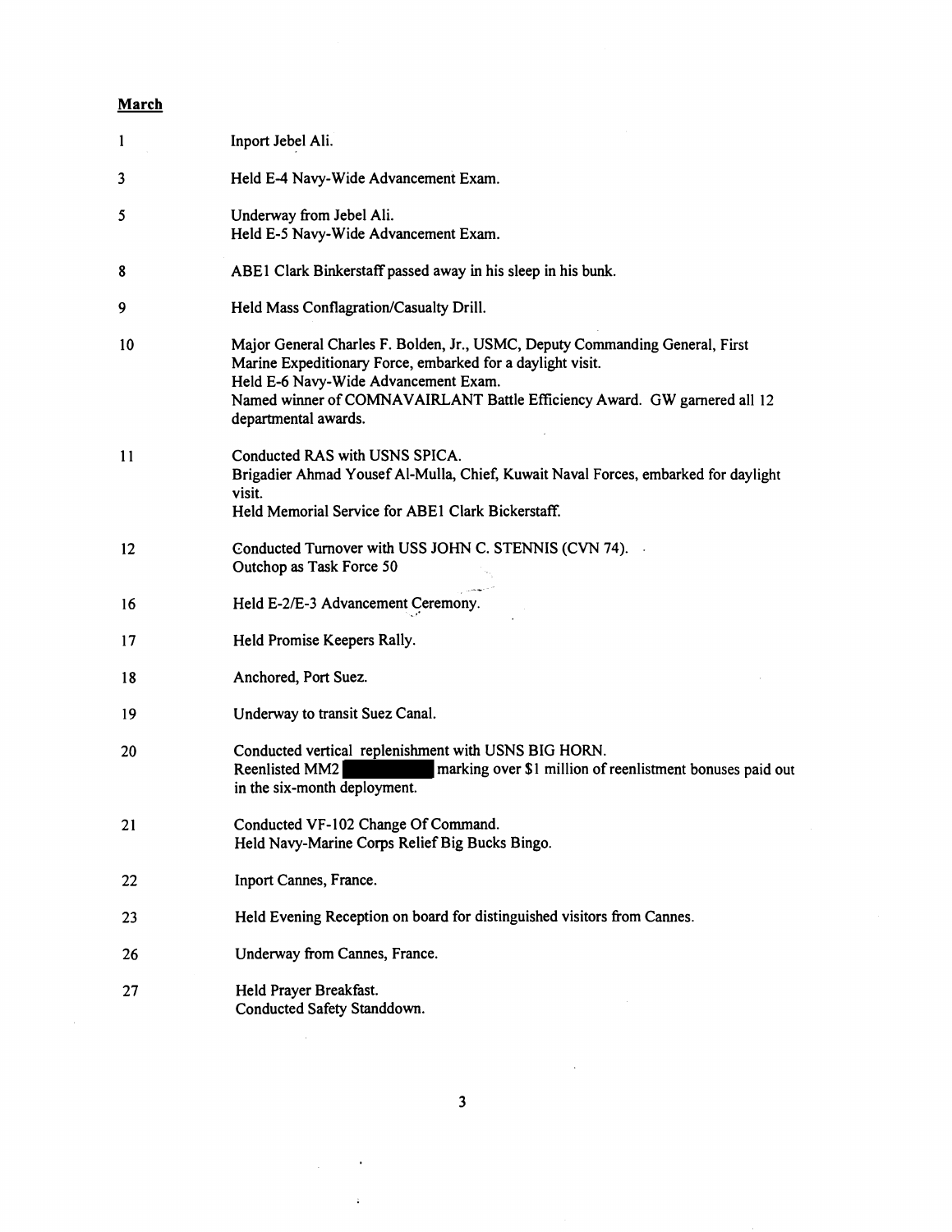# **March**

 $\sim 10^6$ 

| 1  | Inport Jebel Ali.                                                                                                                                                                                                                                                                       |
|----|-----------------------------------------------------------------------------------------------------------------------------------------------------------------------------------------------------------------------------------------------------------------------------------------|
| 3  | Held E-4 Navy-Wide Advancement Exam.                                                                                                                                                                                                                                                    |
| 5  | Underway from Jebel Ali.<br>Held E-5 Navy-Wide Advancement Exam.                                                                                                                                                                                                                        |
| 8  | ABE1 Clark Binkerstaff passed away in his sleep in his bunk.                                                                                                                                                                                                                            |
| 9  | Held Mass Conflagration/Casualty Drill.                                                                                                                                                                                                                                                 |
| 10 | Major General Charles F. Bolden, Jr., USMC, Deputy Commanding General, First<br>Marine Expeditionary Force, embarked for a daylight visit.<br>Held E-6 Navy-Wide Advancement Exam.<br>Named winner of COMNAVAIRLANT Battle Efficiency Award. GW garnered all 12<br>departmental awards. |
| 11 | Conducted RAS with USNS SPICA.<br>Brigadier Ahmad Yousef Al-Mulla, Chief, Kuwait Naval Forces, embarked for daylight<br>visit.<br>Held Memorial Service for ABE1 Clark Bickerstaff.                                                                                                     |
| 12 | Conducted Turnover with USS JOHN C. STENNIS (CVN 74).<br>Outchop as Task Force 50                                                                                                                                                                                                       |
| 16 | Held E-2/E-3 Advancement Ceremony.                                                                                                                                                                                                                                                      |
| 17 | Held Promise Keepers Rally.                                                                                                                                                                                                                                                             |
| 18 | Anchored, Port Suez.                                                                                                                                                                                                                                                                    |
| 19 | Underway to transit Suez Canal.                                                                                                                                                                                                                                                         |
| 20 | Conducted vertical replenishment with USNS BIG HORN.<br>marking over \$1 million of reenlistment bonuses paid out<br>Reenlisted MM2<br>in the six-month deployment.                                                                                                                     |
| 21 | Conducted VF-102 Change Of Command.<br>Held Navy-Marine Corps Relief Big Bucks Bingo.                                                                                                                                                                                                   |
| 22 | Inport Cannes, France.                                                                                                                                                                                                                                                                  |
| 23 | Held Evening Reception on board for distinguished visitors from Cannes.                                                                                                                                                                                                                 |
| 26 | Underway from Cannes, France.                                                                                                                                                                                                                                                           |
| 27 | Held Prayer Breakfast.<br>Conducted Safety Standdown.                                                                                                                                                                                                                                   |

 $\label{eq:2.1} \mathcal{L}(\mathcal{L}_{\mathcal{A}}) = \mathcal{L}(\mathcal{L}_{\mathcal{A}}) \otimes \mathcal{L}(\mathcal{L}_{\mathcal{A}})$ 

 $\mathcal{L}^{\pm}$ 

 $\mathcal{L}^{\text{max}}_{\text{max}}$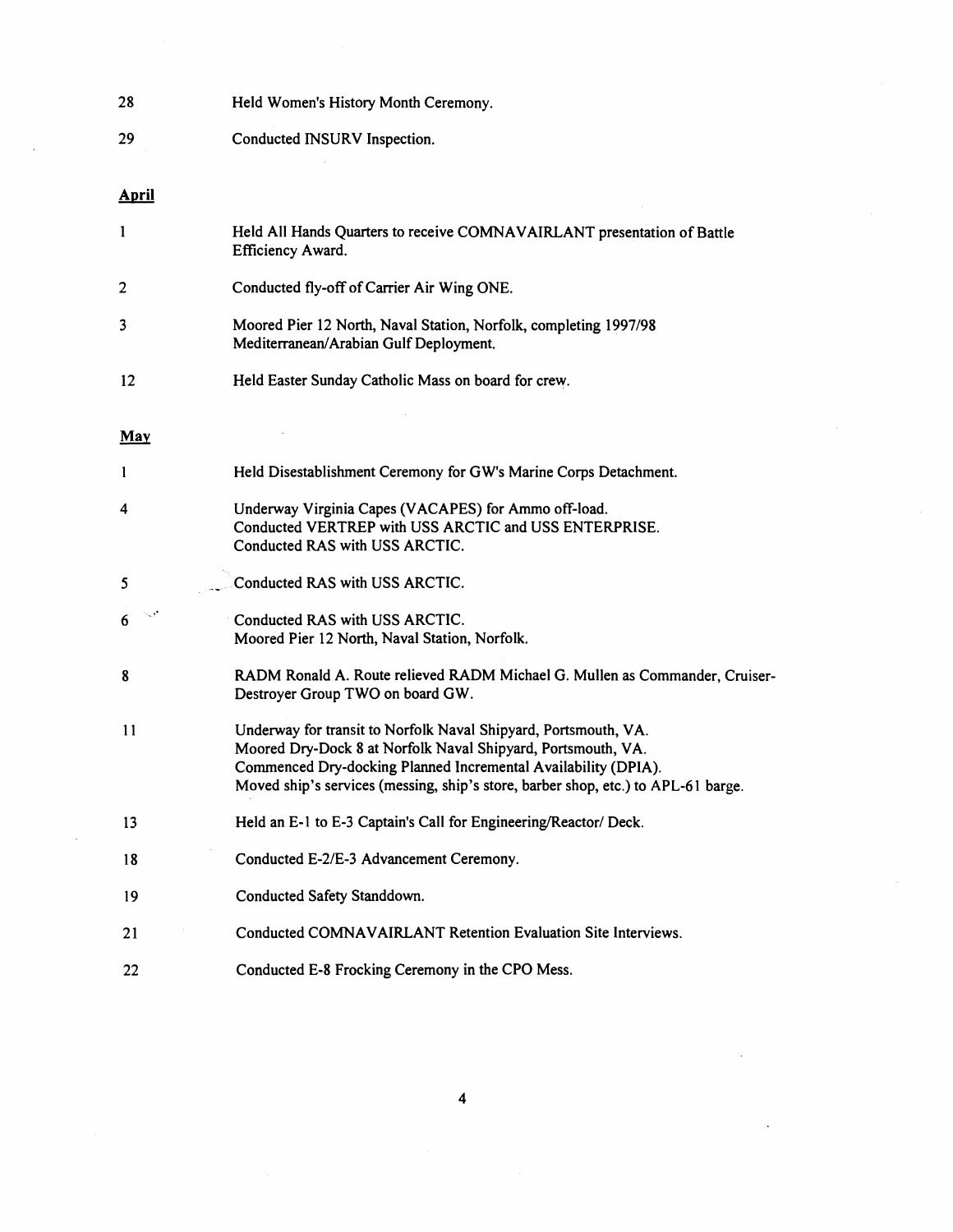| 28                      | Held Women's History Month Ceremony.                                                                                                                                                                                                                                                   |
|-------------------------|----------------------------------------------------------------------------------------------------------------------------------------------------------------------------------------------------------------------------------------------------------------------------------------|
| 29                      | Conducted INSURV Inspection.                                                                                                                                                                                                                                                           |
|                         |                                                                                                                                                                                                                                                                                        |
| <b>April</b>            |                                                                                                                                                                                                                                                                                        |
| $\mathbf{1}$            | Held All Hands Quarters to receive COMNAVAIRLANT presentation of Battle<br>Efficiency Award.                                                                                                                                                                                           |
| $\overline{\mathbf{c}}$ | Conducted fly-off of Carrier Air Wing ONE.                                                                                                                                                                                                                                             |
| 3                       | Moored Pier 12 North, Naval Station, Norfolk, completing 1997/98<br>Mediterranean/Arabian Gulf Deployment.                                                                                                                                                                             |
| 12                      | Held Easter Sunday Catholic Mass on board for crew.                                                                                                                                                                                                                                    |
|                         |                                                                                                                                                                                                                                                                                        |
| <b>May</b>              |                                                                                                                                                                                                                                                                                        |
| 1                       | Held Disestablishment Ceremony for GW's Marine Corps Detachment.                                                                                                                                                                                                                       |
| 4                       | Underway Virginia Capes (VACAPES) for Ammo off-load.<br>Conducted VERTREP with USS ARCTIC and USS ENTERPRISE.<br>Conducted RAS with USS ARCTIC.                                                                                                                                        |
|                         |                                                                                                                                                                                                                                                                                        |
| 5                       | Conducted RAS with USS ARCTIC.                                                                                                                                                                                                                                                         |
| 6                       | Conducted RAS with USS ARCTIC.<br>Moored Pier 12 North, Naval Station, Norfolk.                                                                                                                                                                                                        |
| 8                       | RADM Ronald A. Route relieved RADM Michael G. Mullen as Commander, Cruiser-<br>Destroyer Group TWO on board GW.                                                                                                                                                                        |
| 11                      | Underway for transit to Norfolk Naval Shipyard, Portsmouth, VA.<br>Moored Dry-Dock 8 at Norfolk Naval Shipyard, Portsmouth, VA.<br>Commenced Dry-docking Planned Incremental Availability (DPIA).<br>Moved ship's services (messing, ship's store, barber shop, etc.) to APL-61 barge. |
| 13                      | Held an E-1 to E-3 Captain's Call for Engineering/Reactor/ Deck.                                                                                                                                                                                                                       |
| 18                      | Conducted E-2/E-3 Advancement Ceremony.                                                                                                                                                                                                                                                |
| 19                      | Conducted Safety Standdown.                                                                                                                                                                                                                                                            |
| 21                      | Conducted COMNAVAIRLANT Retention Evaluation Site Interviews.                                                                                                                                                                                                                          |
| 22                      | Conducted E-8 Frocking Ceremony in the CPO Mess.                                                                                                                                                                                                                                       |

 $\langle \hat{a}^{\dagger}_{\mu} \rangle$ 

 $\label{eq:2} \frac{1}{\sqrt{2}}\int_{0}^{\pi/2} \frac{1}{\sqrt{2}}\,d\mu$ 

 $\mathcal{L}^{\text{max}}_{\text{max}}$  and  $\mathcal{L}^{\text{max}}_{\text{max}}$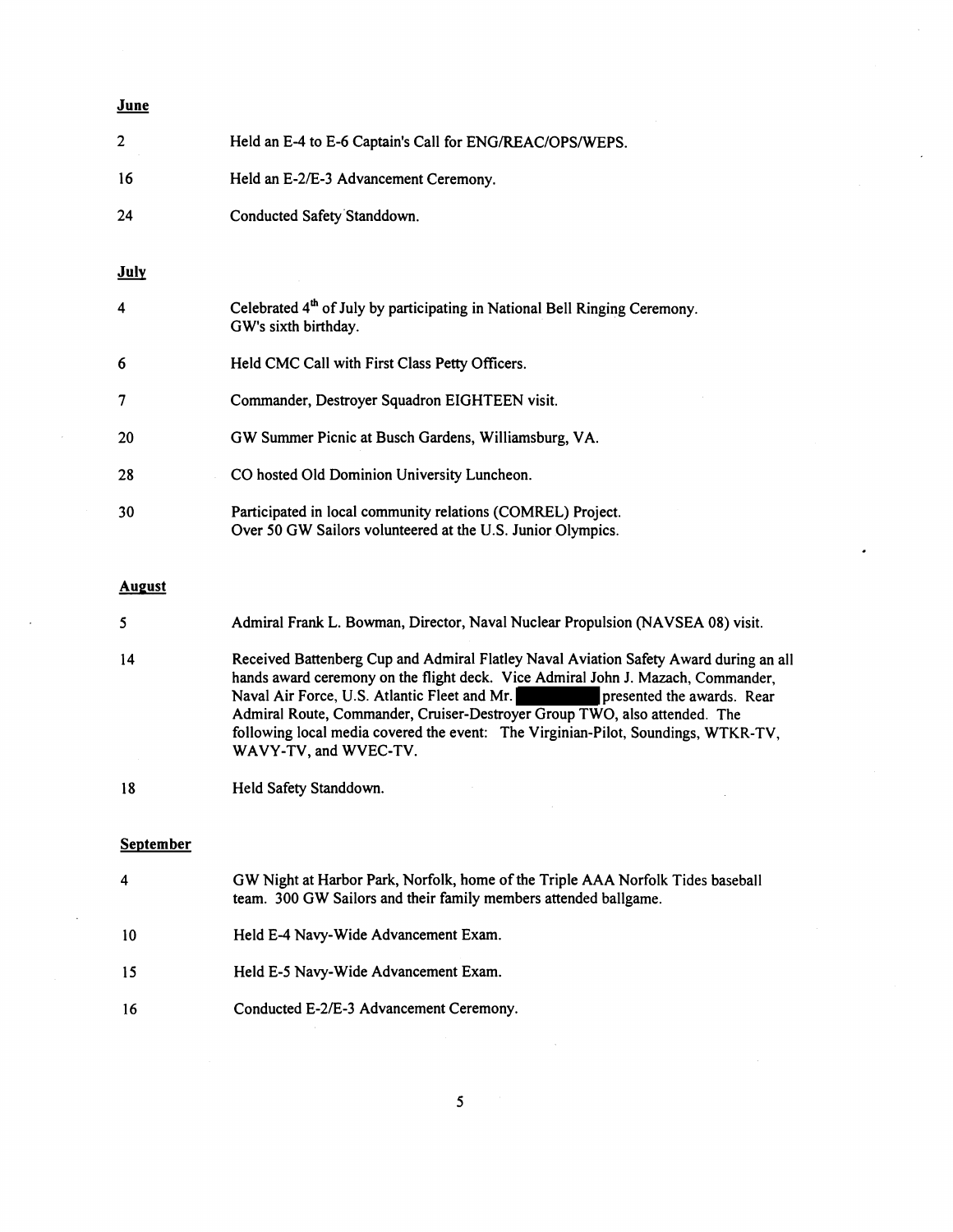### **June**

| $\overline{c}$ | Held an E-4 to E-6 Captain's Call for ENG/REAC/OPS/WEPS.                                                                   |
|----------------|----------------------------------------------------------------------------------------------------------------------------|
| 16             | Held an E-2/E-3 Advancement Ceremony.                                                                                      |
| 24             | Conducted Safety Standdown.                                                                                                |
| <b>July</b>    |                                                                                                                            |
| 4              | Celebrated 4 <sup>th</sup> of July by participating in National Bell Ringing Ceremony.<br>GW's sixth birthday.             |
| 6              | Held CMC Call with First Class Petty Officers.                                                                             |
| 7              | Commander, Destroyer Squadron EIGHTEEN visit.                                                                              |
| 20             | GW Summer Picnic at Busch Gardens, Williamsburg, VA.                                                                       |
| 28             | CO hosted Old Dominion University Luncheon.                                                                                |
| 30             | Participated in local community relations (COMREL) Project.<br>Over 50 GW Sailors volunteered at the U.S. Junior Olympics. |

#### **August**

4 Received Battenberg Cup and Admiral Flatley Naval Aviation Safety Award during an all hands award ceremony on the flight deck. Vice Admiral John J. Mazach, Commander, Naval Air Force, U.S. Atlantic Fleet and Mr. presented the awards. Rear Admiral Route, Commander, Cruiser-Destroyer Group TWO, also attended. The following local media covered the event: The Virginian-Pilot, Soundings, WTKR-TV, WAVY-TV, and WVEC-TV.

18 Held Safety Standdown.

### September

| 4  | GW Night at Harbor Park, Norfolk, home of the Triple AAA Norfolk Tides baseball<br>team. 300 GW Sailors and their family members attended ballgame. |
|----|-----------------------------------------------------------------------------------------------------------------------------------------------------|
| 10 | Held E-4 Navy-Wide Advancement Exam.                                                                                                                |
| 15 | Held E-5 Navy-Wide Advancement Exam.                                                                                                                |
| 16 | Conducted E-2/E-3 Advancement Ceremony.                                                                                                             |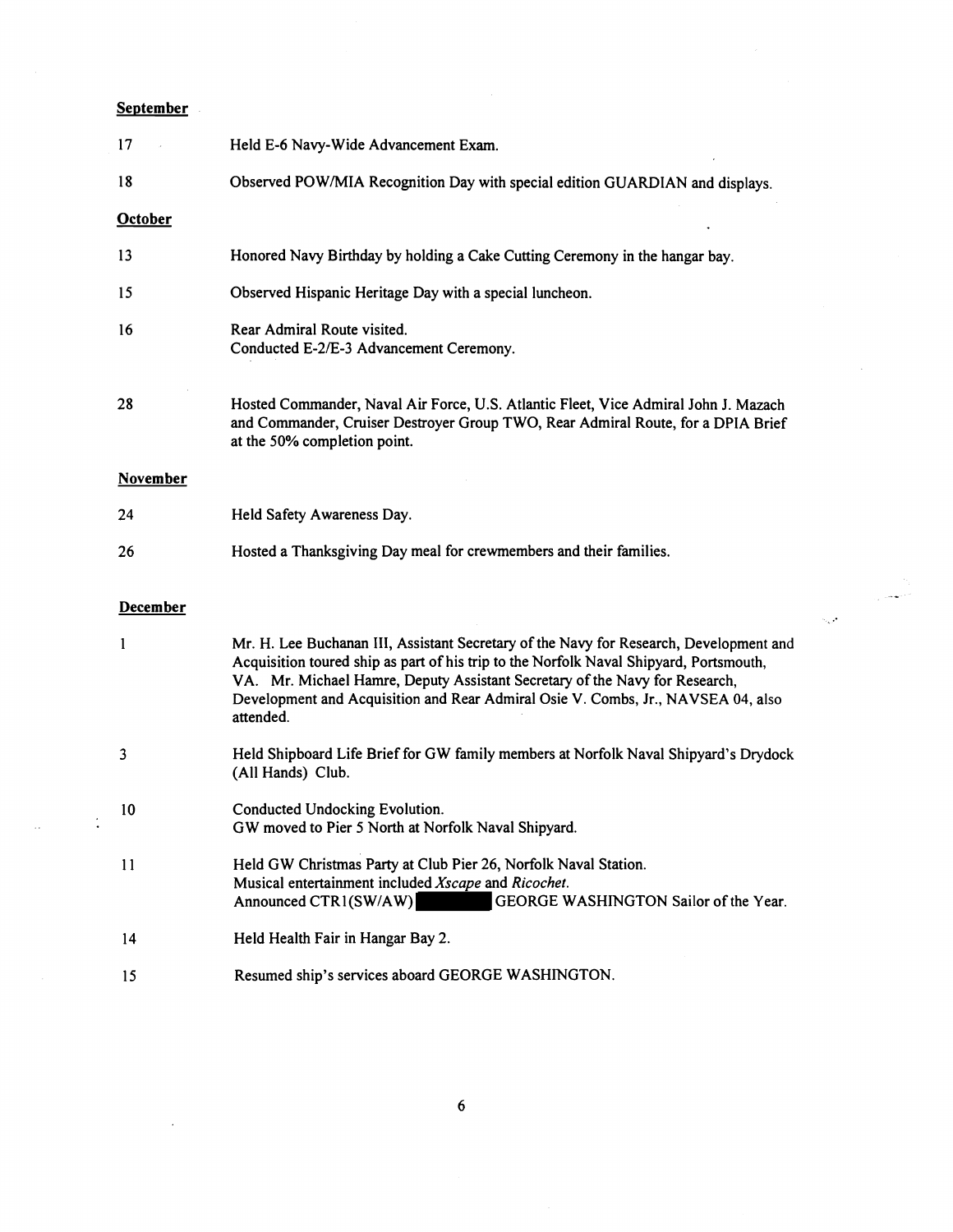# **September**

 $\frac{1}{2}$ 

| 17              | Held E-6 Navy-Wide Advancement Exam.                                                                                                                                                                                                                                                                                                                             |
|-----------------|------------------------------------------------------------------------------------------------------------------------------------------------------------------------------------------------------------------------------------------------------------------------------------------------------------------------------------------------------------------|
| 18              | Observed POW/MIA Recognition Day with special edition GUARDIAN and displays.                                                                                                                                                                                                                                                                                     |
| <b>October</b>  |                                                                                                                                                                                                                                                                                                                                                                  |
| 13              | Honored Navy Birthday by holding a Cake Cutting Ceremony in the hangar bay.                                                                                                                                                                                                                                                                                      |
| 15              | Observed Hispanic Heritage Day with a special luncheon.                                                                                                                                                                                                                                                                                                          |
| 16              | Rear Admiral Route visited.<br>Conducted E-2/E-3 Advancement Ceremony.                                                                                                                                                                                                                                                                                           |
| 28              | Hosted Commander, Naval Air Force, U.S. Atlantic Fleet, Vice Admiral John J. Mazach<br>and Commander, Cruiser Destroyer Group TWO, Rear Admiral Route, for a DPIA Brief<br>at the 50% completion point.                                                                                                                                                          |
| <b>November</b> |                                                                                                                                                                                                                                                                                                                                                                  |
| 24              | Held Safety Awareness Day.                                                                                                                                                                                                                                                                                                                                       |
|                 |                                                                                                                                                                                                                                                                                                                                                                  |
| 26              | Hosted a Thanksgiving Day meal for crewmembers and their families.                                                                                                                                                                                                                                                                                               |
| December        |                                                                                                                                                                                                                                                                                                                                                                  |
| $\mathbf{1}$    | Mr. H. Lee Buchanan III, Assistant Secretary of the Navy for Research, Development and<br>Acquisition toured ship as part of his trip to the Norfolk Naval Shipyard, Portsmouth,<br>VA. Mr. Michael Hamre, Deputy Assistant Secretary of the Navy for Research,<br>Development and Acquisition and Rear Admiral Osie V. Combs, Jr., NAVSEA 04, also<br>attended. |
| 3               | Held Shipboard Life Brief for GW family members at Norfolk Naval Shipyard's Drydock<br>(All Hands) Club.                                                                                                                                                                                                                                                         |
| 10              | Conducted Undocking Evolution.<br>GW moved to Pier 5 North at Norfolk Naval Shipyard.                                                                                                                                                                                                                                                                            |
| 11              | Held GW Christmas Party at Club Pier 26, Norfolk Naval Station.<br>Musical entertainment included Xscape and Ricochet.<br>GEORGE WASHINGTON Sailor of the Year.<br>Announced CTR1(SW/AW)                                                                                                                                                                         |
| 14              | Held Health Fair in Hangar Bay 2.                                                                                                                                                                                                                                                                                                                                |

 $\sim$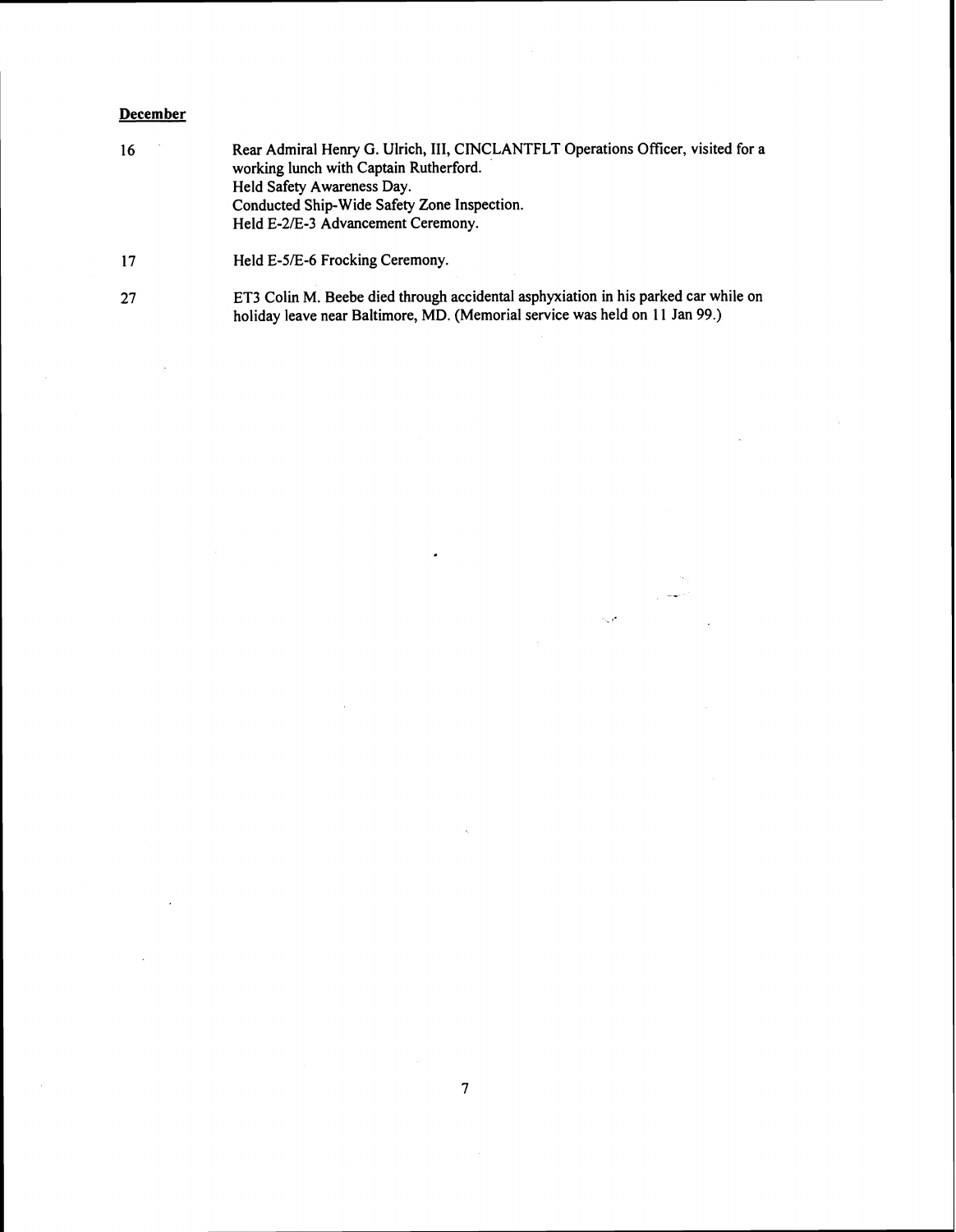### **December**

16 Rear Admiral Henry G. Ulrich, III, CINCLANTFLT Operations Officer, visited for a working lunch with Captain Rutherford. Held Safety Awareness Day. Conducted Ship-Wide Safety Zone Inspection. Held E-2/E-3 Advancement Ceremony.

ET3 Colin M. Beebe died through accidental asphyxiation in his parked car while on 27 holiday leave near Baltimore, MD. (Memorial service was held on 11 Jan 99.)

مورد

Held E-5/E-6 Frocking Ceremony.  $17$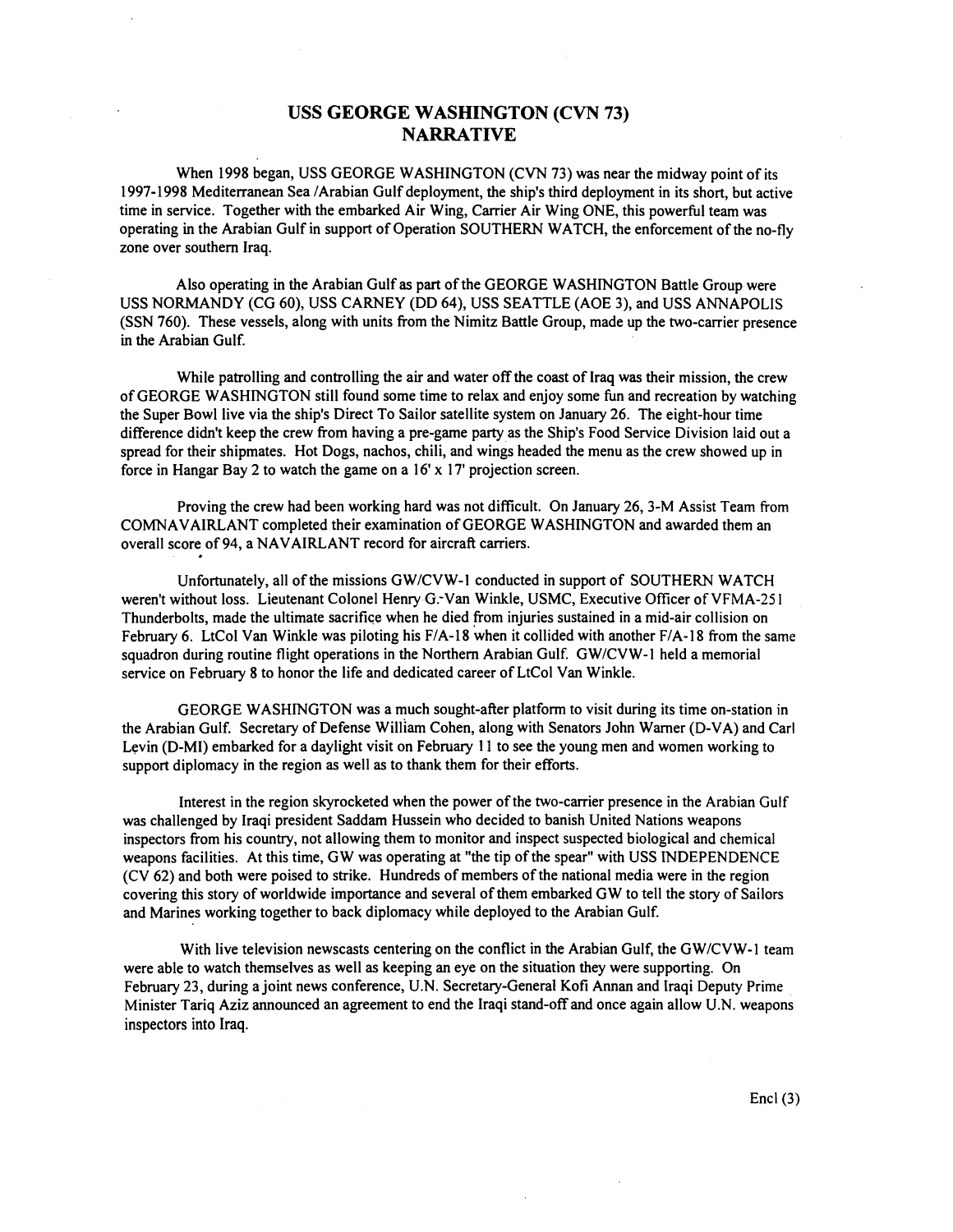### **USS GEORGE WASHINGTON (CVN 73) NARRATIVE**

When 1998 began, USS GEORGE WASHINGTON (CVN 73) was near the midway point of its 1997-1998 Mediterranean Sea /Arabian Gulf deployment, the ship's third deployment in its short, but active time in service. Together with the embarked Air Wing, Carrier Air Wing ONE, this powerful team was operating in the Arabian Gulf in support of Operation SOUTHERN WATCH, the enforcement of the no-fly zone over southern Iraq.

Also operating in the Arabian Gulf as part of the GEORGE WASHINGTON Battle Group were USS NORMANDY (CG 60), USS CARNEY (DD 64), USS SEATTLE (AOE 3), and USS ANNAPOLIS (SSN 760). These vessels, along with units from the Nimitz Battle Group, made up the two-carrier presence in the Arabian Gulf.

While patrolling and controlling the air and water off the coast of Iraq was their mission, the crew of GEORGE WASHINGTON still found some time to relax and enjoy some fin and recreation by watching the Super Bowl live via the ship's Direct To Sailor satellite system on January 26. The eight-hour time difference didn't keep the crew from having a pre-game party as the Ship's Food Service Division laid out a spread for their shipmates. Hot Dogs, nachos, chili, and wings headed the menu as the crew showed up in force in Hangar Bay 2 to watch the game on a 16' **x** 17' projection screen.

Proving the crew had been working hard was not difficult. On January 26, 3-M Assist Team from COMNAVAIRLANT completed their examination of GEORGE WASHINGTON and awarded them an overall score of 94, a NAVAIRLANT record for aircraft carriers.

Unfortunately, all of the missions GW/CVW-1 conducted in support of SOUTHERN WATCH weren't without loss. Lieutenant Colonel Henry G. Van Winkle, USMC, Executive Officer of VFMA-251 Thunderbolts, made the ultimate sacrifice when he died from injuries sustained in a mid-air collision on February 6. LtCol Van Winkle was piloting his F/A-18 when it collided with another F/A-18 from the same squadron during routine flight operations in the Northern Arabian Gulf. GW/CVW-1 held a memorial service on February 8 to honor the life and dedicated career of LtCol Van Winkle.

GEORGE WASHINGTON was a much sought-after platform to visit during its time on-station in the Arabian Gulf. Secretary of Defense William Cohen, along with Senators John Warner (D-VA) and Carl Levin (D-MI) embarked for a daylight visit on February **1 1** to see the young men and women working to support diplomacy in the region as well as to thank them for their efforts.

Interest in the region skyrocketed when the power of the two-carrier presence in the Arabian Gulf was challenged by Iraqi president Saddam Hussein who decided to banish United Nations weapons inspectors from his country, not allowing them to monitor and inspect suspected biological and chemical weapons facilities. At this time, GW was operating at "the tip of the spear" with USS INDEPENDENCE (CV 62) and both were poised to strike. Hundreds of members of the national media were in the region covering this story of worldwide importance and several of them embarked GW to tell the story of Sailors and Marines working together to back diplomacy while deployed to the Arabian Gulf.

With live television newscasts centering on the conflict in the Arabian Gulf, the GW/CVW-1 team were able to watch themselves as well as keeping an eye on the situation they were supporting. On February 23, during a joint news conference, U.N. Secretary-General Kofi Aman and Iraqi Deputy Prime Minister Tariq Aziz announced an agreement to end the Iraqi stand-off and once again allow U.N. weapons inspectors into Iraq.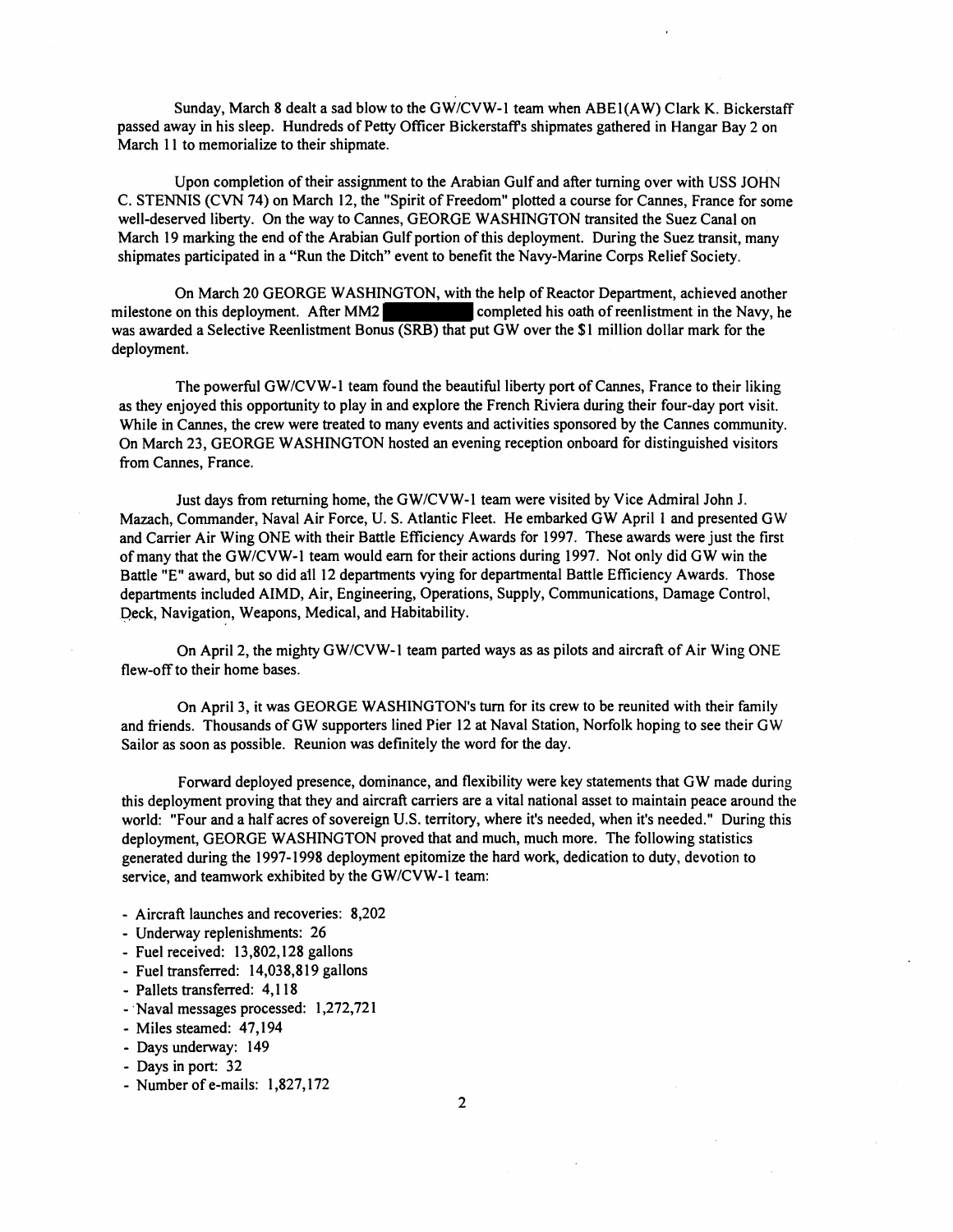Sunday, March 8 dealt a sad blow to the GW/CVW-1 team when ABE1(AW) Clark K. Bickerstaff passed away in his sleep. Hundreds of Petty Officer Bickerstaff's shipmates gathered in Hangar Bay 2 on March 11 to memorialize to their shipmate.

Upon completion of their assignment to the Arabian Gulf and after turning over with USS JOHN C. STENNIS (CVN 74) on March 12, the "Spirit of Freedom" plotted a course for Cames, France for some well-deserved liberty. On the way to Cannes, GEORGE WASHINGTON transited the Suez Canal on March 19 marking the end of the Arabian Gulf portion of this deployment. During the Suez transit, many shipmates participated in a "Run the Ditch" event to benefit the Navy-Marine Corps Relief Society.

On March 20 GEORGE WASHINGTON, with the help of Reactor Department, achieved another milestone on this deployment. After MM2 completed his oath of reenlistment in the Navy, he was awarded a Selective Reenlistment Bonus (SRB) that put GW over the \$1 million dollar mark for the deployment.

The powerful GW/CVW-1 team found the beautiful liberty port of Cannes, France to their liking as they enjoyed this opportunity to play in and explore the French Riviera during their four-day port visit. While in Cannes, the crew were treated to many events and activities sponsored by the Cannes community. On March 23, GEORGE WASHINGTON hosted an evening reception onboard for distinguished visitors from Cames, France.

Just days from returning home, the GWICVW-I team were visited by Vice Admiral John J. Mazach, Commander, Naval Air Force, U. S. Atlantic Fleet. He embarked GW April 1 and presented GW and Carrier Air Wing ONE with their Battle Efficiency Awards for 1997. These awards were just the first of many that the GWICVW-I team would earn for their actions during 1997. Not only did GW win the Battle "E" award, but so did all 12 departments vying for departmental Battle Efficiency Awards. Those departments included AIMD, Air, Engineering, Operations, Supply, Communications, Damage Control, Deck, Navigation, Weapons, Medical, and Habitability.

On April 2, the mighty GW/CVW-1 team parted ways as as pilots and aircraft of Air Wing ONE flew-off to their home bases.

On April 3, it was GEORGE WASHINGTON'S turn for its crew to be reunited with their family and fiiends. Thousands of GW supporters lined Pier 12 at Naval Station, Norfolk hoping to see their GW Sailor as soon as possible. Reunion was definitely the word for the day.

Forward deployed presence, dominance, and flexibility were key statements that GW made during this deployment proving that they and aircraft carriers are a vital national asset to maintain peace around the world: "Four and a half acres of sovereign U.S. territory, where it's needed, when it's needed." During this deployment, GEORGE WASHINGTON proved that and much, much more. The following statistics generated during the 1997-1998 deployment epitomize the hard work, dedication to duty, devotion to service, and teamwork exhibited by the GW/CVW-1 team:

- Aircraft launches and recoveries: 8,202
- Underway replenishments: 26
- Fuel received: 13,802,128 gallons
- Fuel transferred: 14,038,8 19 gallons
- Pallets transferred: 4,118
- Naval messages processed: 1,272,721
- Miles steamed: 47,194
- Days underway: 149
- Days in port: 32

 $\overline{2}$ 

<sup>-</sup> Number of e-mails: 1,827,172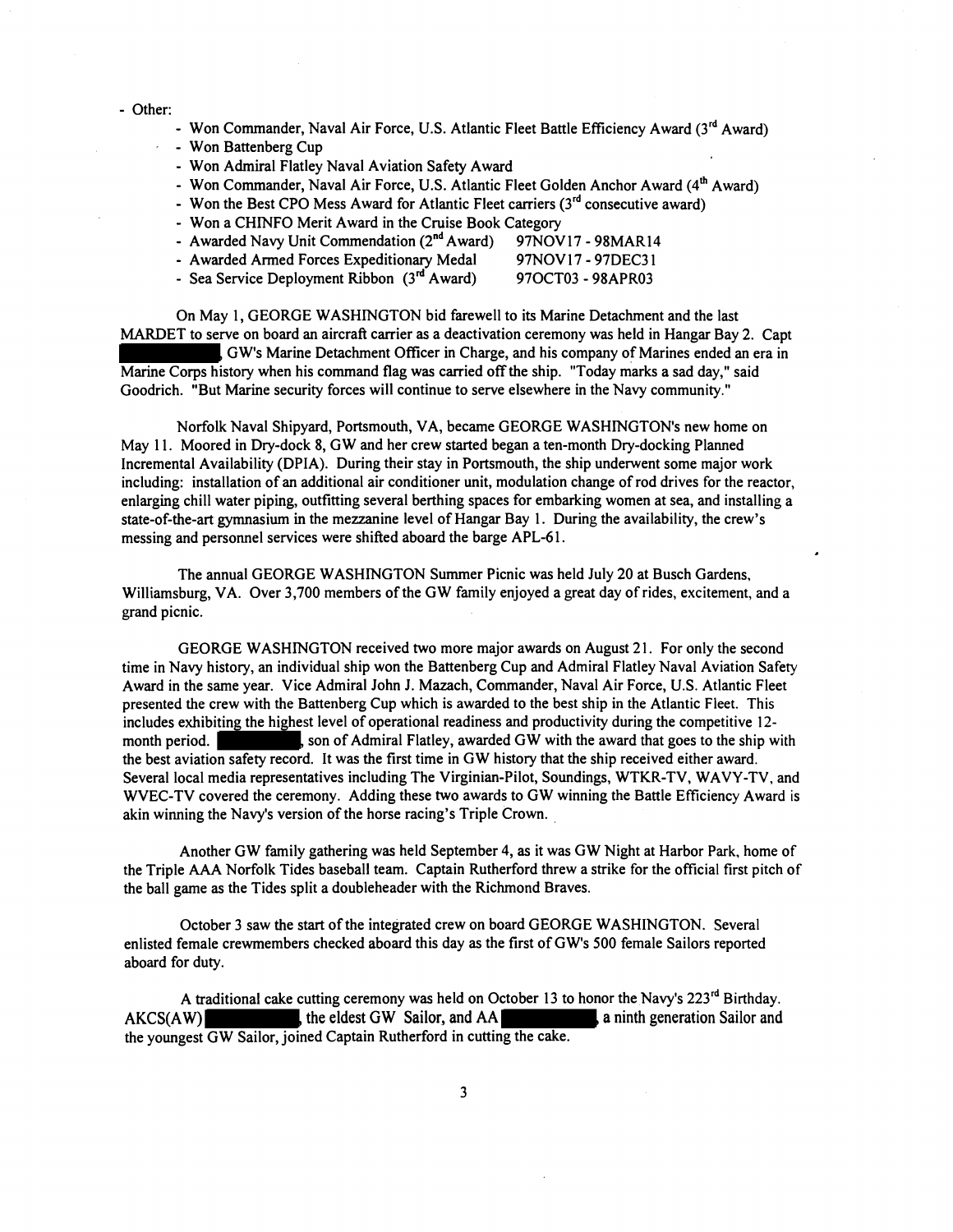#### - Other:

- Won Commander, Naval Air Force, U.S. Atlantic Fleet Battle Efficiency Award (3<sup>rd</sup> Award)
- Won Battenberg Cup
- Won Admiral Flatley Naval Aviation Safety Award
- Won Commander, Naval Air Force, U.S. Atlantic Fleet Golden Anchor Award **(4~** Award)
- Won the Best CPO Mess Award for Atlantic Fleet carriers  $(3<sup>rd</sup>$  consecutive award)
- Won a CHINFO Merit Award in the Cruise Book Category
- Awarded Navy Unit Commendation (2<sup>nd</sup> Award) 97NOV17 98MAR14<br>- Awarded Armed Forces Expeditionary Medal 97NOV17 97DEC31
- Awarded Armed Forces Expeditionary Medal
- Sea Service Deployment Ribbon (3<sup>rd</sup> Award) 97OCT03 98APR03

On May 1, GEORGE WASHINGTON bid farewell to its Marine Detachment and the last MARDET to serve on board an aircraft carrier as a deactivation ceremony was held in Hangar Bay 2. Capt

GW's Marine Detachment Officer in Charge, and his company of Marines ended an era in Marine Corps history when his command flag was carried off the ship. "Today marks a sad day," said Goodrich. "But Marine security forces will continue to serve elsewhere in the Navy community."

Norfolk Naval Shipyard, Portsmouth, VA, became GEORGE WASHINGTON'S new home on May 11. Moored in Dry-dock 8, GW and her crew started began a ten-month Dry-docking Planned Incremental Availability (DPIA). During their stay in Portsmouth, the ship underwent some major work including: installation of an additional air conditioner unit, modulation change of rod drives for the reactor, enlarging chill water piping, outfitting several berthing spaces for embarking women at sea, and installing a state-of-the-art gymnasium in the mezzanine level of Hangar Bay 1. During the availability, the crew's messing and personnel services were shifted aboard the barge APL-61.

The annual GEORGE WASHINGTON Summer Picnic was held July 20 at Busch Gardens, Williamsburg, VA. Over 3,700 members of the GW family enjoyed a great day of rides, excitement, and a grand picnic.

GEORGE WASHINGTON received two more major awards on August 2 **1.** For only the second time in Navy history, an individual ship won the Battenberg Cup and Admiral Flatley Naval Aviation Safety Award in the same year. Vice Admiral John J. Mazach, Commander, Naval Air Force, U.S. Atlantic Fleet presented the crew with the Battenberg Cup which is awarded to the best ship in the Atlantic Fleet. This includes exhibiting the highest level of operational readiness and productivity during the competitive **12**  month period. son of Admiral Flatley, awarded GW with the award that goes to the ship with the best aviation safety record. It was the first time in GW history that the ship received either award. Several local media representatives including The Virginian-Pilot, Soundings, WTKR-TV, WAVY-TV, and WVEC-TV covered the ceremony. Adding these two awards to GW winning the Battle Efficiency Award is akin winning the Navy's version of the horse racing's Triple Crown.

Another GW family gathering was held September 4, as it was GW Night at Harbor Park, home of the Triple **AAA** Norfolk Tides baseball team. Captain Rutherford threw a strike for the official first pitch of the ball game as the Tides split a doubleheader with the Richmond Braves.

October 3 saw the start of the integrated crew on board GEORGE WASHINGTON. Several enlisted female crewmembers checked aboard this day as the first of GW's 500 female Sailors reported aboard for duty.

A traditional cake cutting ceremony was held on October 13 to honor the Navy's  $223^{rd}$  Birthday.  $AKCS(AW)$ , the eldest GW Sailor, and  $AA$ , aninth generation Sailor and the youngest GW Sailor, joined Captain Rutherford in cutting the cake.